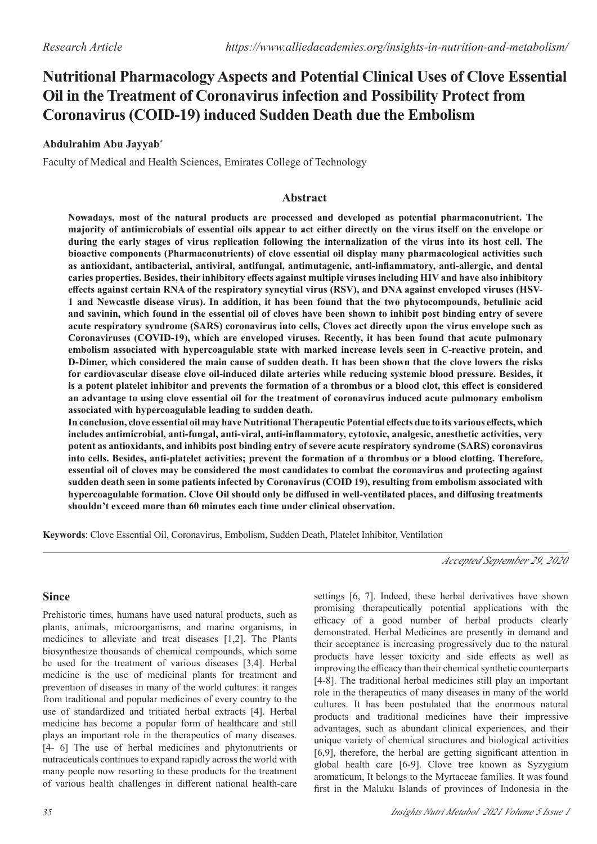# **Nutritional Pharmacology Aspects and Potential Clinical Uses of Clove Essential Oil in the Treatment of Coronavirus infection and Possibility Protect from Coronavirus (COID-19) induced Sudden Death due the Embolism**

# **Abdulrahim Abu Jayyab\***

Faculty of Medical and Health Sciences, Emirates College of Technology

#### **Abstract**

**Nowadays, most of the natural products are processed and developed as potential pharmaconutrient. The majority of antimicrobials of essential oils appear to act either directly on the virus itself on the envelope or during the early stages of virus replication following the internalization of the virus into its host cell. The bioactive components (Pharmaconutrients) of clove essential oil display many pharmacological activities such as antioxidant, antibacterial, antiviral, antifungal, antimutagenic, anti-inflammatory, anti-allergic, and dental caries properties. Besides, their inhibitory effects against multiple viruses including HIV and have also inhibitory effects against certain RNA of the respiratory syncytial virus (RSV), and DNA against enveloped viruses (HSV-1 and Newcastle disease virus). In addition, it has been found that the two phytocompounds, betulinic acid and savinin, which found in the essential oil of cloves have been shown to inhibit post binding entry of severe acute respiratory syndrome (SARS) coronavirus into cells, Cloves act directly upon the virus envelope such as Coronaviruses (COVID-19), which are enveloped viruses. Recently, it has been found that acute pulmonary embolism associated with hypercoagulable state with marked increase levels seen in C-reactive protein, and D-Dimer, which considered the main cause of sudden death. It has been shown that the clove lowers the risks for cardiovascular disease clove oil-induced dilate arteries while reducing systemic blood pressure. Besides, it is a potent platelet inhibitor and prevents the formation of a thrombus or a blood clot, this effect is considered an advantage to using clove essential oil for the treatment of coronavirus induced acute pulmonary embolism associated with hypercoagulable leading to sudden death.** 

**In conclusion, clove essential oil may have Nutritional Therapeutic Potential effects due to its various effects, which includes antimicrobial, anti-fungal, anti-viral, anti-inflammatory, cytotoxic, analgesic, anesthetic activities, very potent as antioxidants, and inhibits post binding entry of severe acute respiratory syndrome (SARS) coronavirus into cells. Besides, anti-platelet activities; prevent the formation of a thrombus or a blood clotting. Therefore, essential oil of cloves may be considered the most candidates to combat the coronavirus and protecting against sudden death seen in some patients infected by Coronavirus (COID 19), resulting from embolism associated with hypercoagulable formation. Clove Oil should only be diffused in well-ventilated places, and diffusing treatments shouldn't exceed more than 60 minutes each time under clinical observation.**

**Keywords**: Clove Essential Oil, Coronavirus, Embolism, Sudden Death, Platelet Inhibitor, Ventilation

*Accepted September 29, 2020*

# **Since**

Prehistoric times, humans have used natural products, such as plants, animals, microorganisms, and marine organisms, in medicines to alleviate and treat diseases [1,2]. The Plants biosynthesize thousands of chemical compounds, which some be used for the treatment of various diseases [3,4]. Herbal medicine is the use of medicinal plants for treatment and prevention of diseases in many of the world cultures: it ranges from traditional and popular medicines of every country to the use of standardized and tritiated herbal extracts [4]. Herbal medicine has become a popular form of healthcare and still plays an important role in the therapeutics of many diseases. [4- 6] The use of herbal medicines and phytonutrients or nutraceuticals continues to expand rapidly across the world with many people now resorting to these products for the treatment of various health challenges in different national health-care settings [6, 7]. Indeed, these herbal derivatives have shown promising therapeutically potential applications with the efficacy of a good number of herbal products clearly demonstrated. Herbal Medicines are presently in demand and their acceptance is increasing progressively due to the natural products have lesser toxicity and side effects as well as improving the efficacy than their chemical synthetic counterparts [4-8]. The traditional herbal medicines still play an important role in the therapeutics of many diseases in many of the world cultures. It has been postulated that the enormous natural products and traditional medicines have their impressive advantages, such as abundant clinical experiences, and their unique variety of chemical structures and biological activities [6,9], therefore, the herbal are getting significant attention in global health care [6-9]. Clove tree known as Syzygium aromaticum, It belongs to the Myrtaceae families. It was found first in the Maluku Islands of provinces of Indonesia in the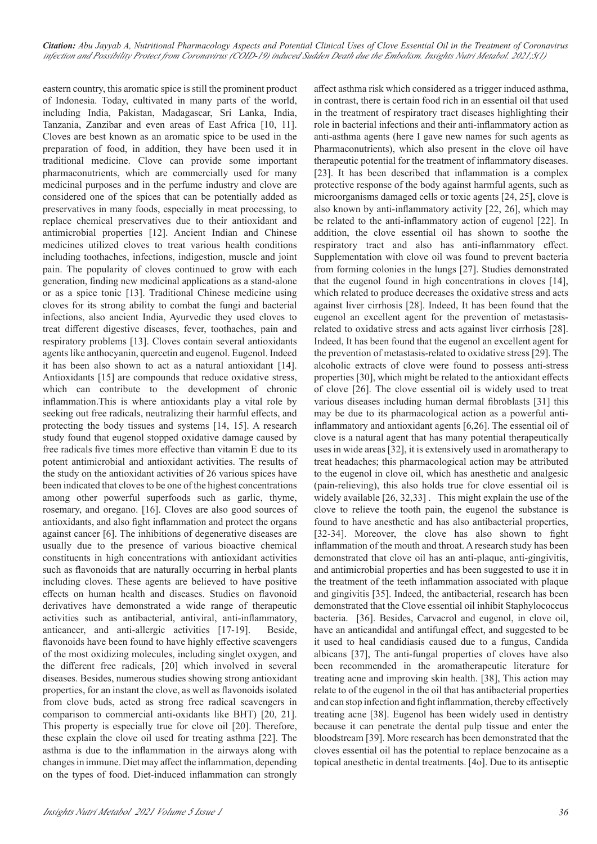eastern country, this aromatic spice is still the prominent product of Indonesia. Today, cultivated in many parts of the world, including India, Pakistan, Madagascar, Sri Lanka, India, Tanzania, Zanzibar and even areas of East Africa [10, 11]. Cloves are best known as an aromatic spice to be used in the preparation of food, in addition, they have been used it in traditional medicine. Clove can provide some important pharmaconutrients, which are commercially used for many medicinal purposes and in the perfume industry and clove are considered one of the spices that can be potentially added as preservatives in many foods, especially in meat processing, to replace chemical preservatives due to their antioxidant and antimicrobial properties [12]. Ancient Indian and Chinese medicines utilized cloves to treat various health conditions including toothaches, infections, indigestion, muscle and joint pain. The popularity of cloves continued to grow with each generation, finding new medicinal applications as a stand-alone or as a spice tonic [13]. Traditional Chinese medicine using cloves for its strong ability to combat the fungi and bacterial infections, also ancient India, Ayurvedic they used cloves to treat different digestive diseases, fever, toothaches, pain and respiratory problems [13]. Cloves contain several antioxidants agents like anthocyanin, quercetin and eugenol. Eugenol. Indeed it has been also shown to act as a natural antioxidant [14]. Antioxidants [15] are compounds that reduce oxidative stress, which can contribute to the development of chronic inflammation.This is where antioxidants play a vital role by seeking out free radicals, neutralizing their harmful effects, and protecting the body tissues and systems [14, 15]. A research study found that eugenol stopped oxidative damage caused by free radicals five times more effective than vitamin E due to its potent antimicrobial and antioxidant activities. The results of the study on the antioxidant activities of 26 various spices have been indicated that cloves to be one of the highest concentrations among other powerful superfoods such as garlic, thyme, rosemary, and oregano. [16]. Cloves are also good sources of antioxidants, and also fight inflammation and protect the organs against cancer [6]. The inhibitions of degenerative diseases are usually due to the presence of various bioactive chemical constituents in high concentrations with antioxidant activities such as flavonoids that are naturally occurring in herbal plants including cloves. These agents are believed to have positive effects on human health and diseases. Studies on flavonoid derivatives have demonstrated a wide range of therapeutic activities such as antibacterial, antiviral, anti-inflammatory, anticancer, and anti-allergic activities [17-19]. Beside, flavonoids have been found to have highly effective scavengers of the most oxidizing molecules, including singlet oxygen, and the different free radicals, [20] which involved in several diseases. Besides, numerous studies showing strong antioxidant properties, for an instant the clove, as well as flavonoids isolated from clove buds, acted as strong free radical scavengers in comparison to commercial anti-oxidants like BHT) [20, 21]. This property is especially true for clove oil [20]. Therefore, these explain the clove oil used for treating asthma [22]. The asthma is due to the inflammation in the airways along with changes in immune. Diet may affect the inflammation, depending on the types of food. Diet-induced inflammation can strongly

affect asthma risk which considered as a trigger induced asthma, in contrast, there is certain food rich in an essential oil that used in the treatment of respiratory tract diseases highlighting their role in bacterial infections and their anti‐inflammatory action as anti-asthma agents (here I gave new names for such agents as Pharmaconutrients), which also present in the clove oil have therapeutic potential for the treatment of inflammatory diseases. [23]. It has been described that inflammation is a complex protective response of the body against harmful agents, such as microorganisms damaged cells or toxic agents [24, 25], clove is also known by anti-inflammatory activity [22, 26], which may be related to the anti-inflammatory action of eugenol [22]. In addition, the clove essential oil has shown to soothe the respiratory tract and also has anti-inflammatory effect. Supplementation with clove oil was found to prevent bacteria from forming colonies in the lungs [27]. Studies demonstrated that the eugenol found in high concentrations in cloves [14], which related to produce decreases the oxidative stress and acts against liver cirrhosis [28]. Indeed, It has been found that the eugenol an excellent agent for the prevention of metastasisrelated to oxidative stress and acts against liver cirrhosis [28]. Indeed, It has been found that the eugenol an excellent agent for the prevention of metastasis-related to oxidative stress [29]. The alcoholic extracts of clove were found to possess anti-stress properties [30], which might be related to the antioxidant effects of clove [26]. The clove essential oil is widely used to treat various diseases including human dermal fibroblasts [31] this may be due to its pharmacological action as a powerful antiinflammatory and antioxidant agents [6,26]. The essential oil of clove is a natural agent that has many potential therapeutically uses in wide areas [32], it is extensively used in aromatherapy to treat headaches; this pharmacological action may be attributed to the eugenol in clove oil, which has anesthetic and analgesic (pain-relieving), this also holds true for clove essential oil is widely available [26, 32,33] . This might explain the use of the clove to relieve the tooth pain, the eugenol the substance is found to have anesthetic and has also antibacterial properties, [32-34]. Moreover, the clove has also shown to fight inflammation of the mouth and throat. A research study has been demonstrated that clove oil has an anti-plaque, anti-gingivitis, and antimicrobial properties and has been suggested to use it in the treatment of the teeth inflammation associated with plaque and gingivitis [35]. Indeed, the antibacterial, research has been demonstrated that the Clove essential oil inhibit Staphylococcus bacteria. [36]. Besides, Carvacrol and eugenol, in clove oil, have an anticandidal and antifungal effect, and suggested to be it used to heal candidiasis caused due to a fungus, Candida albicans [37], The anti-fungal properties of cloves have also been recommended in the aromatherapeutic literature for treating acne and improving skin health. [38], This action may relate to of the eugenol in the oil that has antibacterial properties and can stop infection and fight inflammation, thereby effectively treating acne [38]. Eugenol has been widely used in dentistry because it can penetrate the dental pulp tissue and enter the bloodstream [39]. More research has been demonstrated that the cloves essential oil has the potential to replace benzocaine as a topical anesthetic in dental treatments. [4o]. Due to its antiseptic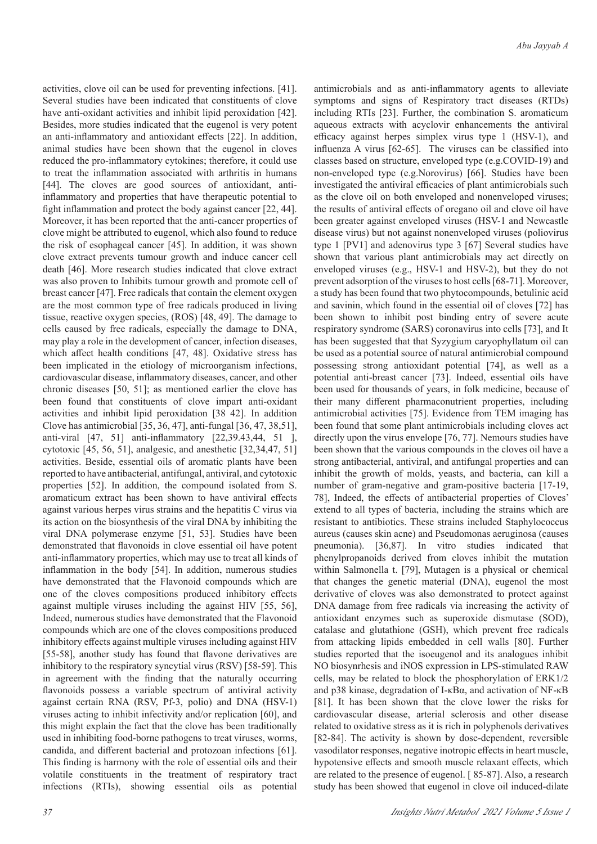activities, clove oil can be used for preventing infections. [41]. Several studies have been indicated that constituents of clove have anti-oxidant activities and inhibit lipid peroxidation [42]. Besides, more studies indicated that the eugenol is very potent an anti-inflammatory and antioxidant effects [22]. In addition, animal studies have been shown that the eugenol in cloves reduced the pro-inflammatory cytokines; therefore, it could use to treat the inflammation associated with arthritis in humans [44]. The cloves are good sources of antioxidant, antiinflammatory and properties that have therapeutic potential to fight inflammation and protect the body against cancer [22, 44]. Moreover, it has been reported that the anti-cancer properties of clove might be attributed to eugenol, which also found to reduce the risk of esophageal cancer [45]. In addition, it was shown clove extract prevents tumour growth and induce cancer cell death [46]. More research studies indicated that clove extract was also proven to Inhibits tumour growth and promote cell of breast cancer [47]. Free radicals that contain the element oxygen are the most common type of free radicals produced in living tissue, reactive oxygen species, (ROS) [48, 49]. The damage to cells caused by free radicals, especially the damage to DNA, may play a role in the development of cancer, infection diseases, which affect health conditions [47, 48]. Oxidative stress has been implicated in the etiology of microorganism infections, cardiovascular disease, inflammatory diseases, cancer, and other chronic diseases [50, 51]; as mentioned earlier the clove has been found that constituents of clove impart anti-oxidant activities and inhibit lipid peroxidation [38 42]. In addition Clove has antimicrobial [35, 36, 47], anti-fungal [36, 47, 38,51], anti-viral [47, 51] anti-inflammatory [22,39.43,44, 51 ], cytotoxic [45, 56, 51], analgesic, and anesthetic [32,34,47, 51] activities. Beside, essential oils of aromatic plants have been reported to have antibacterial, antifungal, antiviral, and cytotoxic properties [52]. In addition, the compound isolated from S. aromaticum extract has been shown to have antiviral effects against various herpes virus strains and the hepatitis C virus via its action on the biosynthesis of the viral DNA by inhibiting the viral DNA polymerase enzyme [51, 53]. Studies have been demonstrated that flavonoids in clove essential oil have potent anti-inflammatory properties, which may use to treat all kinds of inflammation in the body [54]. In addition, numerous studies have demonstrated that the Flavonoid compounds which are one of the cloves compositions produced inhibitory effects against multiple viruses including the against HIV [55, 56], Indeed, numerous studies have demonstrated that the Flavonoid compounds which are one of the cloves compositions produced inhibitory effects against multiple viruses including against HIV [55-58], another study has found that flavone derivatives are inhibitory to the respiratory syncytial virus (RSV) [58-59]. This in agreement with the finding that the naturally occurring flavonoids possess a variable spectrum of antiviral activity against certain RNA (RSV, Pf-3, polio) and DNA (HSV-1) viruses acting to inhibit infectivity and/or replication [60], and this might explain the fact that the clove has been traditionally used in inhibiting food-borne pathogens to treat viruses, worms, candida, and different bacterial and protozoan infections [61]. This finding is harmony with the role of essential oils and their volatile constituents in the treatment of respiratory tract infections (RTIs), showing essential oils as potential

antimicrobials and as anti‐inflammatory agents to alleviate symptoms and signs of Respiratory tract diseases (RTDs) including RTIs [23]. Further, the combination S. aromaticum aqueous extracts with acyclovir enhancements the antiviral efficacy against herpes simplex virus type 1 (HSV-1), and influenza A virus [62-65]. The viruses can be classified into classes based on structure, enveloped type (e.g.COVID-19) and non-enveloped type (e.g.Norovirus) [66]. Studies have been investigated the antiviral efficacies of plant antimicrobials such as the clove oil on both enveloped and nonenveloped viruses; the results of antiviral effects of oregano oil and clove oil have been greater against enveloped viruses (HSV-1 and Newcastle disease virus) but not against nonenveloped viruses (poliovirus type 1 [PV1] and adenovirus type 3 [67] Several studies have shown that various plant antimicrobials may act directly on enveloped viruses (e.g., HSV-1 and HSV-2), but they do not prevent adsorption of the viruses to host cells [68-71]. Moreover, a study has been found that two phytocompounds, betulinic acid and savinin, which found in the essential oil of cloves [72] has been shown to inhibit post binding entry of severe acute respiratory syndrome (SARS) coronavirus into cells [73], and It has been suggested that that Syzygium caryophyllatum oil can be used as a potential source of natural antimicrobial compound possessing strong antioxidant potential [74], as well as a potential anti-breast cancer [73]. Indeed, essential oils have been used for thousands of years, in folk medicine, because of their many different pharmaconutrient properties, including antimicrobial activities [75]. Evidence from TEM imaging has been found that some plant antimicrobials including cloves act directly upon the virus envelope [76, 77]. Nemours studies have been shown that the various compounds in the cloves oil have a strong antibacterial, antiviral, and antifungal properties and can inhibit the growth of molds, yeasts, and bacteria, can kill a number of gram-negative and gram-positive bacteria [17-19, 78], Indeed, the effects of antibacterial properties of Cloves' extend to all types of bacteria, including the strains which are resistant to antibiotics. These strains included Staphylococcus aureus (causes skin acne) and Pseudomonas aeruginosa (causes pneumonia). [36,87]. In vitro studies indicated that phenylpropanoids derived from cloves inhibit the mutation within Salmonella t. [79], Mutagen is a physical or chemical that changes the genetic material (DNA), eugenol the most derivative of cloves was also demonstrated to protect against DNA damage from free radicals via increasing the activity of antioxidant enzymes such as superoxide dismutase (SOD), catalase and glutathione (GSH), which prevent free radicals from attacking lipids embedded in cell walls [80]. Further studies reported that the isoeugenol and its analogues inhibit NO biosynrhesis and iNOS expression in LPS-stimulated RAW cells, may be related to block the phosphorylation of ERK1/2 and p38 kinase, degradation of I-κBα, and activation of NF-κB [81]. It has been shown that the clove lower the risks for cardiovascular disease, arterial sclerosis and other disease related to oxidative stress as it is rich in polyphenols derivatives [82-84]. The activity is shown by dose-dependent, reversible vasodilator responses, negative inotropic effects in heart muscle, hypotensive effects and smooth muscle relaxant effects, which are related to the presence of eugenol. [ 85-87]. Also, a research study has been showed that eugenol in clove oil induced-dilate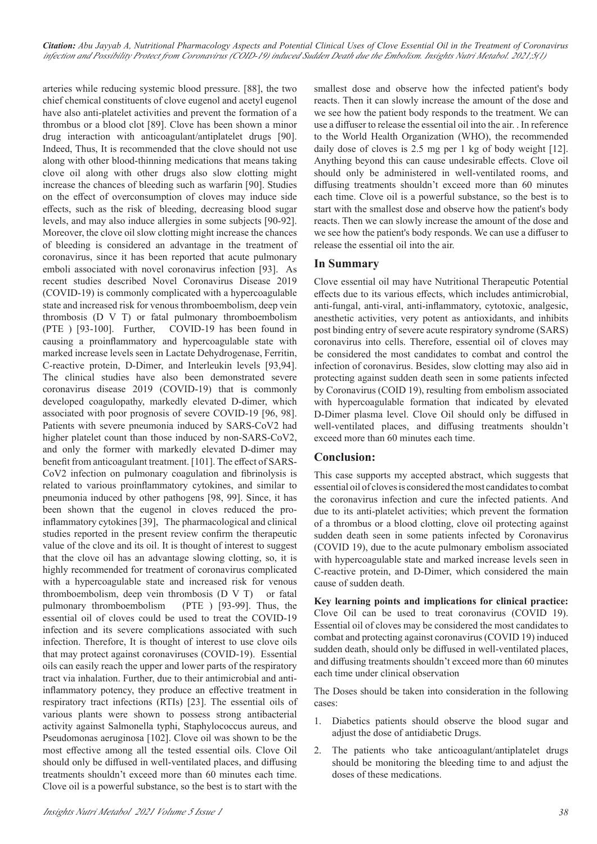*Citation: Abu Jayyab A, Nutritional Pharmacology Aspects and Potential Clinical Uses of Clove Essential Oil in the Treatment of Coronavirus infection and Possibility Protect from Coronavirus (COID-19) induced Sudden Death due the Embolism. Insights Nutri Metabol. 2021;5(1)*

arteries while reducing systemic blood pressure. [88], the two chief chemical constituents of clove eugenol and acetyl eugenol have also anti-platelet activities and prevent the formation of a thrombus or a blood clot [89]. Clove has been shown a minor drug interaction with anticoagulant/antiplatelet drugs [90]. Indeed, Thus, It is recommended that the clove should not use along with other blood-thinning medications that means taking clove oil along with other drugs also slow clotting might increase the chances of bleeding such as warfarin [90]. Studies on the effect of overconsumption of cloves may induce side effects, such as the risk of bleeding, decreasing blood sugar levels, and may also induce allergies in some subjects [90-92]. Moreover, the clove oil slow clotting might increase the chances of bleeding is considered an advantage in the treatment of coronavirus, since it has been reported that acute pulmonary emboli associated with novel coronavirus infection [93]. As recent studies described Novel Coronavirus Disease 2019 (COVID-19) is commonly complicated with a hypercoagulable state and increased risk for venous thromboembolism, deep vein thrombosis (D V T) or fatal pulmonary thromboembolism (PTE ) [93-100]. Further, COVID-19 has been found in causing a proinflammatory and hypercoagulable state with marked increase levels seen in Lactate Dehydrogenase, Ferritin, C-reactive protein, D-Dimer, and Interleukin levels [93,94]. The clinical studies have also been demonstrated severe coronavirus disease 2019 (COVID-19) that is commonly developed coagulopathy, markedly elevated D-dimer, which associated with poor prognosis of severe COVID-19 [96, 98]. Patients with severe pneumonia induced by SARS-CoV2 had higher platelet count than those induced by non-SARS-CoV2, and only the former with markedly elevated D-dimer may benefit from anticoagulant treatment. [101]. The effect of SARS-CoV2 infection on pulmonary coagulation and fibrinolysis is related to various proinflammatory cytokines, and similar to pneumonia induced by other pathogens [98, 99]. Since, it has been shown that the eugenol in cloves reduced the proinflammatory cytokines [39], The pharmacological and clinical studies reported in the present review confirm the therapeutic value of the clove and its oil. It is thought of interest to suggest that the clove oil has an advantage slowing clotting, so, it is highly recommended for treatment of coronavirus complicated with a hypercoagulable state and increased risk for venous thromboembolism, deep vein thrombosis (D V T) or fatal pulmonary thromboembolism (PTE ) [93-99]. Thus, the essential oil of cloves could be used to treat the COVID-19 infection and its severe complications associated with such infection. Therefore, It is thought of interest to use clove oils that may protect against coronaviruses (COVID-19). Essential oils can easily reach the upper and lower parts of the respiratory tract via inhalation. Further, due to their antimicrobial and anti‐ inflammatory potency, they produce an effective treatment in respiratory tract infections (RTIs) [23]. The essential oils of various plants were shown to possess strong antibacterial activity against Salmonella typhi, Staphylococcus aureus, and Pseudomonas aeruginosa [102]. Clove oil was shown to be the most effective among all the tested essential oils. Clove Oil should only be diffused in well-ventilated places, and diffusing treatments shouldn't exceed more than 60 minutes each time. Clove oil is a powerful substance, so the best is to start with the smallest dose and observe how the infected patient's body reacts. Then it can slowly increase the amount of the dose and we see how the patient body responds to the treatment. We can use a diffuser to release the essential oil into the air. . In reference to the World Health Organization (WHO), the recommended daily dose of cloves is 2.5 mg per 1 kg of body weight [12]. Anything beyond this can cause undesirable effects. Clove oil should only be administered in well-ventilated rooms, and diffusing treatments shouldn't exceed more than 60 minutes each time. Clove oil is a powerful substance, so the best is to start with the smallest dose and observe how the patient's body reacts. Then we can slowly increase the amount of the dose and we see how the patient's body responds. We can use a diffuser to release the essential oil into the air.

#### **In Summary**

Clove essential oil may have Nutritional Therapeutic Potential effects due to its various effects, which includes antimicrobial, anti-fungal, anti-viral, anti-inflammatory, cytotoxic, analgesic, anesthetic activities, very potent as antioxidants, and inhibits post binding entry of severe acute respiratory syndrome (SARS) coronavirus into cells. Therefore, essential oil of cloves may be considered the most candidates to combat and control the infection of coronavirus. Besides, slow clotting may also aid in protecting against sudden death seen in some patients infected by Coronavirus (COID 19), resulting from embolism associated with hypercoagulable formation that indicated by elevated D-Dimer plasma level. Clove Oil should only be diffused in well-ventilated places, and diffusing treatments shouldn't exceed more than 60 minutes each time.

#### **Conclusion:**

This case supports my accepted abstract, which suggests that essential oil of cloves is considered the most candidates to combat the coronavirus infection and cure the infected patients. And due to its anti-platelet activities; which prevent the formation of a thrombus or a blood clotting, clove oil protecting against sudden death seen in some patients infected by Coronavirus (COVID 19), due to the acute pulmonary embolism associated with hypercoagulable state and marked increase levels seen in C-reactive protein, and D-Dimer, which considered the main cause of sudden death.

**Key learning points and implications for clinical practice:** Clove Oil can be used to treat coronavirus (COVID 19). Essential oil of cloves may be considered the most candidates to combat and protecting against coronavirus (COVID 19) induced sudden death, should only be diffused in well-ventilated places, and diffusing treatments shouldn't exceed more than 60 minutes each time under clinical observation

The Doses should be taken into consideration in the following cases:

- 1. Diabetics patients should observe the blood sugar and adjust the dose of antidiabetic Drugs.
- 2. The patients who take anticoagulant/antiplatelet drugs should be monitoring the bleeding time to and adjust the doses of these medications.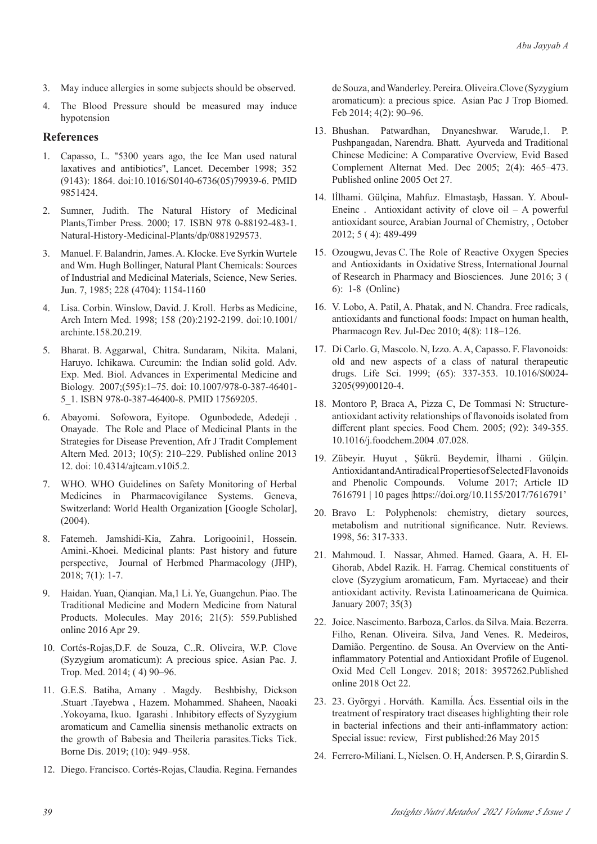- 3. May induce allergies in some subjects should be observed.
- 4. The Blood Pressure should be measured may induce hypotension

# **References**

- 1. Capasso, L. "5300 years ago, the Ice Man used natural laxatives and antibiotics", Lancet. December 1998; 352 (9143): 1864. doi:10.1016/S0140-6736(05)79939-6. PMID 9851424.
- 2. Sumner, Judith. The Natural History of Medicinal Plants,Timber Press. 2000; 17. ISBN 978 0-88192-483-1. Natural-History-Medicinal-Plants/dp/0881929573.
- 3. Manuel. F. Balandrin, James. A. Klocke. Eve Syrkin Wurtele and Wm. Hugh Bollinger, Natural Plant Chemicals: Sources of Industrial and Medicinal Materials, Science, New Series. Jun. 7, 1985; 228 (4704): 1154-1160
- 4. Lisa. Corbin. Winslow, David. J. Kroll. Herbs as Medicine, Arch Intern Med. 1998; 158 (20):2192-2199. doi:10.1001/ archinte.158.20.219.
- 5. Bharat. B. Aggarwal, Chitra. Sundaram, Nikita. Malani, Haruyo. Ichikawa. Curcumin: the Indian solid gold. Adv. Exp. Med. Biol. Advances in Experimental Medicine and Biology. 2007;(595):1–75. doi: 10.1007/978-0-387-46401- 5\_1. ISBN 978-0-387-46400-8. PMID 17569205.
- 6. Abayomi. Sofowora, Eyitope. Ogunbodede, Adedeji . Onayade. The Role and Place of Medicinal Plants in the Strategies for Disease Prevention, Afr J Tradit Complement Altern Med. 2013; 10(5): 210–229. Published online 2013 12. doi: 10.4314/ajtcam.v10i5.2.
- 7. WHO. WHO Guidelines on Safety Monitoring of Herbal Medicines in Pharmacovigilance Systems. Geneva, Switzerland: World Health Organization [Google Scholar], (2004).
- 8. Fatemeh. Jamshidi-Kia, Zahra. Lorigooini1, Hossein. Amini.-Khoei. Medicinal plants: Past history and future perspective, Journal of Herbmed Pharmacology (JHP), 2018; 7(1): 1-7.
- 9. Haidan. Yuan, Qianqian. Ma,1 Li. Ye, Guangchun. Piao. The Traditional Medicine and Modern Medicine from Natural Products. Molecules. May 2016; 21(5): 559.Published online 2016 Apr 29.
- 10. Cortés-Rojas,D.F. de Souza, C..R. Oliveira, W.P. Clove (Syzygium aromaticum): A precious spice. Asian Pac. J. Trop. Med. 2014; ( 4) 90–96.
- 11. G.E.S. Batiha, Amany . Magdy. Beshbishy, Dickson .Stuart .Tayebwa , Hazem. Mohammed. Shaheen, Naoaki .Yokoyama, Ikuo. Igarashi . Inhibitory effects of Syzygium aromaticum and Camellia sinensis methanolic extracts on the growth of Babesia and Theileria parasites.Ticks Tick. Borne Dis. 2019; (10): 949–958.
- 12. Diego. Francisco. Cortés-Rojas, Claudia. Regina. Fernandes

de Souza, and Wanderley. Pereira. Oliveira.Clove (Syzygium aromaticum): a precious spice. Asian Pac J Trop Biomed. Feb 2014; 4(2): 90–96.

- 13. Bhushan. Patwardhan, Dnyaneshwar. Warude,1. P. Pushpangadan, Narendra. Bhatt. Ayurveda and Traditional Chinese Medicine: A Comparative Overview, Evid Based Complement Alternat Med. Dec 2005; 2(4): 465–473. Published online 2005 Oct 27.
- 14. lİlhami. Gülçina, Mahfuz. Elmastaşb, Hassan. Y. Aboul-Eneinc . Antioxidant activity of clove oil  $-$  A powerful antioxidant source, Arabian Journal of Chemistry, , October 2012; 5 ( 4): 489-499
- 15. Ozougwu, Jevas C. The Role of Reactive Oxygen Species and Antioxidants in Oxidative Stress, International Journal of Research in Pharmacy and Biosciences. June 2016; 3 ( 6): 1-8 (Online)
- 16. V. Lobo, A. Patil, A. Phatak, and N. Chandra. Free radicals, antioxidants and functional foods: Impact on human health, Pharmacogn Rev. Jul-Dec 2010; 4(8): 118–126.
- 17. Di Carlo. G, Mascolo. N, Izzo. A. A, Capasso. F. Flavonoids: old and new aspects of a class of natural therapeutic drugs. Life Sci. 1999; (65): 337-353. 10.1016/S0024- 3205(99)00120-4.
- 18. Montoro P, Braca A, Pizza C, De Tommasi N: Structureantioxidant activity relationships of flavonoids isolated from different plant species. Food Chem. 2005; (92): 349-355. 10.1016/j.foodchem.2004 .07.028.
- 19. Zübeyir. Huyut , Şükrü. Beydemir, İlhami . Gülçin. Antioxidant and Antiradical Properties of Selected Flavonoids and Phenolic Compounds. Volume 2017; Article ID 7616791 | 10 pages |https://doi.org/10.1155/2017/7616791'
- 20. Bravo L: Polyphenols: chemistry, dietary sources, metabolism and nutritional significance. Nutr. Reviews. 1998, 56: 317-333.
- 21. Mahmoud. I. Nassar, Ahmed. Hamed. Gaara, A. H. El-Ghorab, Abdel Razik. H. Farrag. Chemical constituents of clove (Syzygium aromaticum, Fam. Myrtaceae) and their antioxidant activity. Revista Latinoamericana de Quimica. January 2007; 35(3)
- 22. Joice. Nascimento. Barboza, Carlos. da Silva. Maia. Bezerra. Filho, Renan. Oliveira. Silva, Jand Venes. R. Medeiros, Damião. Pergentino. de Sousa. An Overview on the Antiinflammatory Potential and Antioxidant Profile of Eugenol. Oxid Med Cell Longev. 2018; 2018: 3957262.Published online 2018 Oct 22.
- 23. 23. Györgyi . Horváth. Kamilla. Ács. Essential oils in the treatment of respiratory tract diseases highlighting their role in bacterial infections and their anti-inflammatory action: Special issue: review, First published:26 May 2015
- 24. Ferrero-Miliani. L, Nielsen. O. H, Andersen. P. S, Girardin S.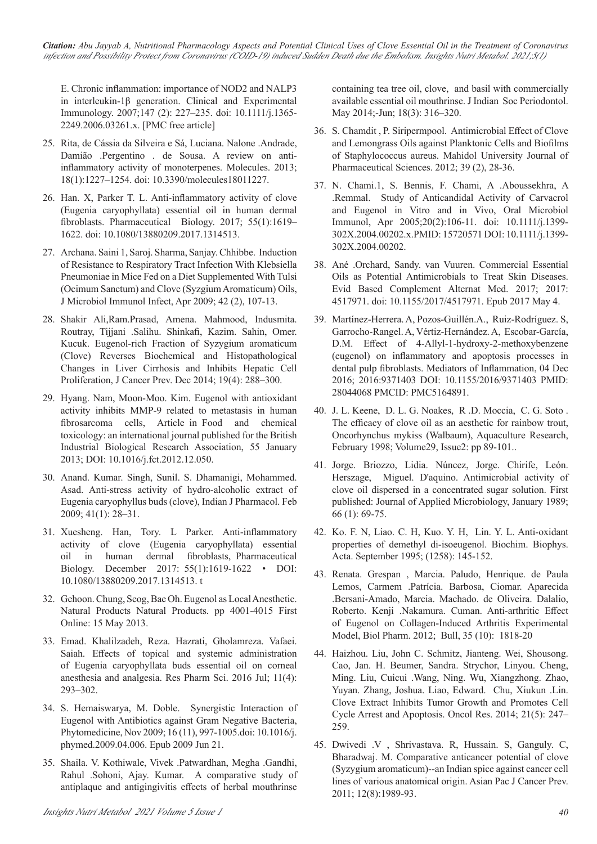*Citation: Abu Jayyab A, Nutritional Pharmacology Aspects and Potential Clinical Uses of Clove Essential Oil in the Treatment of Coronavirus infection and Possibility Protect from Coronavirus (COID-19) induced Sudden Death due the Embolism. Insights Nutri Metabol. 2021;5(1)*

E. Chronic inflammation: importance of NOD2 and NALP3 in interleukin-1β generation. Clinical and Experimental Immunology. 2007;147 (2): 227–235. doi: 10.1111/j.1365- 2249.2006.03261.x. [PMC free article]

- 25. Rita, de Cássia da Silveira e Sá, Luciana. Nalone .Andrade, Damião .Pergentino . de Sousa. A review on antiinflammatory activity of monoterpenes. Molecules. 2013; 18(1):1227–1254. doi: 10.3390/molecules18011227.
- 26. Han. X, Parker T. L. Anti-inflammatory activity of clove (Eugenia caryophyllata) essential oil in human dermal fibroblasts. Pharmaceutical Biology. 2017; 55(1):1619– 1622. doi: 10.1080/13880209.2017.1314513.
- 27. Archana. Saini 1, Saroj. Sharma, Sanjay. Chhibbe. Induction of Resistance to Respiratory Tract Infection With Klebsiella Pneumoniae in Mice Fed on a Diet Supplemented With Tulsi (Ocimum Sanctum) and Clove (Syzgium Aromaticum) Oils, J Microbiol Immunol Infect, Apr 2009; 42 (2), 107-13.
- 28. Shakir Ali,Ram.Prasad, Amena. Mahmood, Indusmita. Routray, Tijjani .Salihu. Shinkafi, Kazim. Sahin, Omer. Kucuk. Eugenol-rich Fraction of Syzygium aromaticum (Clove) Reverses Biochemical and Histopathological Changes in Liver Cirrhosis and Inhibits Hepatic Cell Proliferation, J Cancer Prev. Dec 2014; 19(4): 288–300.
- 29. Hyang. Nam, Moon-Moo. Kim. Eugenol with antioxidant activity inhibits MMP-9 related to metastasis in human fibrosarcoma cells, Article in Food and chemical toxicology: an international journal published for the British Industrial Biological Research Association, 55 January 2013; DOI: 10.1016/j.fct.2012.12.050.
- 30. Anand. Kumar. Singh, Sunil. S. Dhamanigi, Mohammed. Asad. Anti-stress activity of hydro-alcoholic extract of Eugenia caryophyllus buds (clove), Indian J Pharmacol. Feb 2009; 41(1): 28–31.
- 31. Xuesheng. Han, Tory. L Parker. Anti-inflammatory activity of clove (Eugenia caryophyllata) essential oil in human dermal fibroblasts, Pharmaceutical Biology. December 2017: 55(1):1619-1622 • DOI: 10.1080/13880209.2017.1314513. t
- 32. Gehoon. Chung, Seog, Bae Oh. Eugenol as Local Anesthetic. Natural Products Natural Products. pp 4001-4015 First Online: 15 May 2013.
- 33. Emad. Khalilzadeh, Reza. Hazrati, Gholamreza. Vafaei. Saiah. Effects of topical and systemic administration of Eugenia caryophyllata buds essential oil on corneal anesthesia and analgesia. Res Pharm Sci. 2016 Jul; 11(4): 293–302.
- 34. S. Hemaiswarya, M. Doble. Synergistic Interaction of Eugenol with Antibiotics against Gram Negative Bacteria, Phytomedicine, Nov 2009; 16 (11), 997-1005.doi: 10.1016/j. phymed.2009.04.006. Epub 2009 Jun 21.
- 35. Shaila. V. Kothiwale, Vivek .Patwardhan, Megha .Gandhi, Rahul .Sohoni, Ajay. Kumar. A comparative study of antiplaque and antigingivitis effects of herbal mouthrinse

containing tea tree oil, clove, and basil with commercially available essential oil mouthrinse. J Indian Soc Periodontol. May 2014;-Jun; 18(3): 316–320.

- 36. S. Chamdit , P. Siripermpool. Antimicrobial Effect of Clove and Lemongrass Oils against Planktonic Cells and Biofilms of Staphylococcus aureus. Mahidol University Journal of Pharmaceutical Sciences. 2012; 39 (2), 28-36.
- 37. N. Chami.1, S. Bennis, F. Chami, A .Aboussekhra, A .Remmal. Study of Anticandidal Activity of Carvacrol and Eugenol in Vitro and in Vivo, Oral Microbiol Immunol, Apr 2005;20(2):106-11. doi: 10.1111/j.1399- 302X.2004.00202.x.PMID: 15720571 DOI: 10.1111/j.1399- 302X.2004.00202.
- 38. Ané .Orchard, Sandy. van Vuuren. Commercial Essential Oils as Potential Antimicrobials to Treat Skin Diseases. Evid Based Complement Alternat Med. 2017; 2017: 4517971. doi: 10.1155/2017/4517971. Epub 2017 May 4.
- 39. Martínez-Herrera. A, Pozos-Guillén.A., Ruiz-Rodríguez. S, Garrocho-Rangel. A, Vértiz-Hernández. A, Escobar-García, D.M. Effect of 4-Allyl-1-hydroxy-2-methoxybenzene (eugenol) on inflammatory and apoptosis processes in dental pulp fibroblasts. Mediators of Inflammation, 04 Dec 2016; 2016:9371403 DOI: 10.1155/2016/9371403 PMID: 28044068 PMCID: PMC5164891.
- 40. J. L. Keene, D. L. G. Noakes, R .D. Moccia, C. G. Soto . The efficacy of clove oil as an aesthetic for rainbow trout, Oncorhynchus mykiss (Walbaum), Aquaculture Research, February 1998; Volume29, Issue2: pp 89-101..
- 41. Jorge. Briozzo, Lidia. Núncez, Jorge. Chirife, León. Herszage, Miguel. D'aquino. Antimicrobial activity of clove oil dispersed in a concentrated sugar solution. First published: Journal of Applied Microbiology, January 1989; 66 (1): 69-75.
- 42. Ko. F. N, Liao. C. H, Kuo. Y. H, Lin. Y. L. Anti-oxidant properties of demethyl di-isoeugenol. Biochim. Biophys. Acta. September 1995; (1258): 145-152.
- 43. Renata. Grespan , Marcia. Paludo, Henrique. de Paula Lemos, Carmem .Patrícia. Barbosa, Ciomar. Aparecida .Bersani-Amado, Marcia. Machado. de Oliveira. Dalalio, Roberto. Kenji .Nakamura. Cuman. Anti-arthritic Effect of Eugenol on Collagen-Induced Arthritis Experimental Model, Biol Pharm. 2012; Bull, 35 (10): 1818-20
- 44. Haizhou. Liu, John C. Schmitz, Jianteng. Wei, Shousong. Cao, Jan. H. Beumer, Sandra. Strychor, Linyou. Cheng, Ming. Liu, Cuicui .Wang, Ning. Wu, Xiangzhong. Zhao, Yuyan. Zhang, Joshua. Liao, Edward. Chu, Xiukun .Lin. Clove Extract Inhibits Tumor Growth and Promotes Cell Cycle Arrest and Apoptosis. Oncol Res. 2014; 21(5): 247– 259.
- 45. Dwivedi .V , Shrivastava. R, Hussain. S, Ganguly. C, Bharadwaj. M. Comparative anticancer potential of clove (Syzygium aromaticum)--an Indian spice against cancer cell lines of various anatomical origin. Asian Pac J Cancer Prev. 2011; 12(8):1989-93.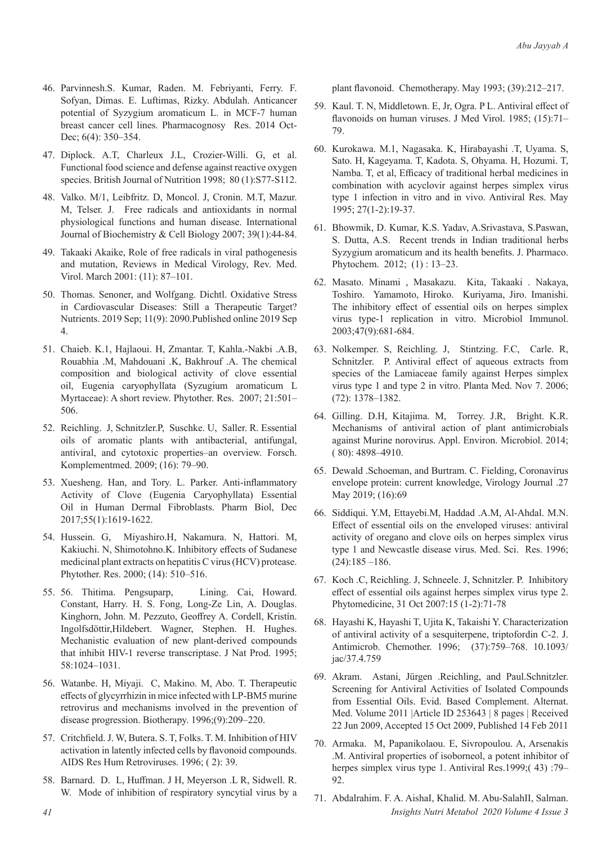- 46. Parvinnesh.S. Kumar, Raden. M. Febriyanti, Ferry. F. Sofyan, Dimas. E. Luftimas, Rizky. Abdulah. Anticancer potential of Syzygium aromaticum L. in MCF-7 human breast cancer cell lines. Pharmacognosy Res. 2014 Oct-Dec; 6(4): 350–354.
- 47. Diplock. A.T, Charleux J.L, Crozier-Willi. G, et al. Functional food science and defense against reactive oxygen species. British Journal of Nutrition 1998; 80 (1):S77-S112.
- 48. Valko. M/1, Leibfritz. D, Moncol. J, Cronin. M.T, Mazur. M, Telser. J. Free radicals and antioxidants in normal physiological functions and human disease. International Journal of Biochemistry & Cell Biology 2007; 39(1):44-84.
- 49. Takaaki Akaike, Role of free radicals in viral pathogenesis and mutation, Reviews in Medical Virology, Rev. Med. Virol. March 2001: (11): 87–101.
- 50. Thomas. Senoner, and Wolfgang. Dichtl. Oxidative Stress in Cardiovascular Diseases: Still a Therapeutic Target? Nutrients. 2019 Sep; 11(9): 2090.Published online 2019 Sep 4.
- 51. Chaieb. K.1, Hajlaoui. H, Zmantar. T, Kahla.-Nakbi .A.B, Rouabhia .M, Mahdouani .K, Bakhrouf .A. The chemical composition and biological activity of clove essential oil, Eugenia caryophyllata (Syzugium aromaticum L Myrtaceae): A short review. Phytother. Res. 2007; 21:501– 506.
- 52. Reichling. J, Schnitzler.P, Suschke. U, Saller. R. Essential oils of aromatic plants with antibacterial, antifungal, antiviral, and cytotoxic properties–an overview. Forsch. Komplementmed. 2009; (16): 79–90.
- 53. Xuesheng. Han, and Tory. L. Parker. Anti-inflammatory Activity of Clove (Eugenia Caryophyllata) Essential Oil in Human Dermal Fibroblasts. Pharm Biol, Dec 2017;55(1):1619-1622.
- 54. Hussein. G, Miyashiro.H, Nakamura. N, Hattori. M, Kakiuchi. N, Shimotohno.K. Inhibitory effects of Sudanese medicinal plant extracts on hepatitis C virus (HCV) protease. Phytother. Res. 2000; (14): 510–516.
- 55. 56. Thitima. Pengsuparp, Lining. Cai, Howard. Constant, Harry. H. S. Fong, Long-Ze Lin, A. Douglas. Kinghorn, John. M. Pezzuto, Geoffrey A. Cordell, Kristín. Ingolfsdöttir,Hildebert. Wagner, Stephen. H. Hughes. Mechanistic evaluation of new plant-derived compounds that inhibit HIV-1 reverse transcriptase. J Nat Prod. 1995; 58:1024–1031.
- 56. Watanbe. H, Miyaji. C, Makino. M, Abo. T. Therapeutic effects of glycyrrhizin in mice infected with LP-BM5 murine retrovirus and mechanisms involved in the prevention of disease progression. Biotherapy. 1996;(9):209–220.
- 57. Critchfield. J. W, Butera. S. T, Folks. T. M. Inhibition of HIV activation in latently infected cells by flavonoid compounds. AIDS Res Hum Retroviruses. 1996; ( 2): 39.
- 58. Barnard. D. L, Huffman. J H, Meyerson .L R, Sidwell. R. W. Mode of inhibition of respiratory syncytial virus by a

plant flavonoid. Chemotherapy. May 1993; (39):212–217.

- 59. Kaul. T. N, Middletown. E, Jr, Ogra. P L. Antiviral effect of flavonoids on human viruses. J Med Virol. 1985: (15):71-79.
- 60. Kurokawa. M.1, Nagasaka. K, Hirabayashi .T, Uyama. S, Sato. H, Kageyama. T, Kadota. S, Ohyama. H, Hozumi. T, Namba. T, et al, Efficacy of traditional herbal medicines in combination with acyclovir against herpes simplex virus type 1 infection in vitro and in vivo. Antiviral Res. May 1995; 27(1-2):19-37.
- 61. Bhowmik, D. Kumar, K.S. Yadav, A.Srivastava, S.Paswan, S. Dutta, A.S. Recent trends in Indian traditional herbs Syzygium aromaticum and its health benefits. J. Pharmaco. Phytochem. 2012; (1) : 13–23.
- 62. Masato. Minami , Masakazu. Kita, Takaaki . Nakaya, Toshiro. Yamamoto, Hiroko. Kuriyama, Jiro. Imanishi. The inhibitory effect of essential oils on herpes simplex virus type-1 replication in vitro. Microbiol Immunol. 2003;47(9):681-684.
- 63. Nolkemper. S, Reichling. J, Stintzing. F.C, Carle. R, Schnitzler. P. Antiviral effect of aqueous extracts from species of the Lamiaceae family against Herpes simplex virus type 1 and type 2 in vitro. Planta Med. Nov 7. 2006; (72): 1378–1382.
- 64. Gilling. D.H, Kitajima. M, Torrey. J.R, Bright. K.R. Mechanisms of antiviral action of plant antimicrobials against Murine norovirus. Appl. Environ. Microbiol. 2014; ( 80): 4898–4910.
- 65. Dewald .Schoeman, and Burtram. C. Fielding, Coronavirus envelope protein: current knowledge, Virology Journal .27 May 2019; (16):69
- 66. Siddiqui. Y.M, Ettayebi.M, Haddad .A.M, Al-Ahdal. M.N. Effect of essential oils on the enveloped viruses: antiviral activity of oregano and clove oils on herpes simplex virus type 1 and Newcastle disease virus. Med. Sci. Res. 1996;  $(24):185 - 186.$
- 67. Koch .C, Reichling. J, Schneele. J, Schnitzler. P. Inhibitory effect of essential oils against herpes simplex virus type 2. Phytomedicine, 31 Oct 2007:15 (1-2):71-78
- 68. Hayashi K, Hayashi T, Ujita K, Takaishi Y. Characterization of antiviral activity of a sesquiterpene, triptofordin C-2. J. Antimicrob. Chemother. 1996; (37):759–768. 10.1093/ jac/37.4.759
- 69. Akram. Astani, Jürgen .Reichling, and Paul.Schnitzler. Screening for Antiviral Activities of Isolated Compounds from Essential Oils. Evid. Based Complement. Alternat. Med. Volume 2011 |Article ID 253643 | 8 pages | Received 22 Jun 2009, Accepted 15 Oct 2009, Published 14 Feb 2011
- 70. Armaka. M, Papanikolaou. E, Sivropoulou. A, Arsenakis .M. Antiviral properties of isoborneol, a potent inhibitor of herpes simplex virus type 1. Antiviral Res.1999;(43):79– 92.
- *41 Insights Nutri Metabol 2020 Volume 4 Issue 3* 71. Abdalrahim. F. A. AishaI, Khalid. M. Abu-SalahII, Salman.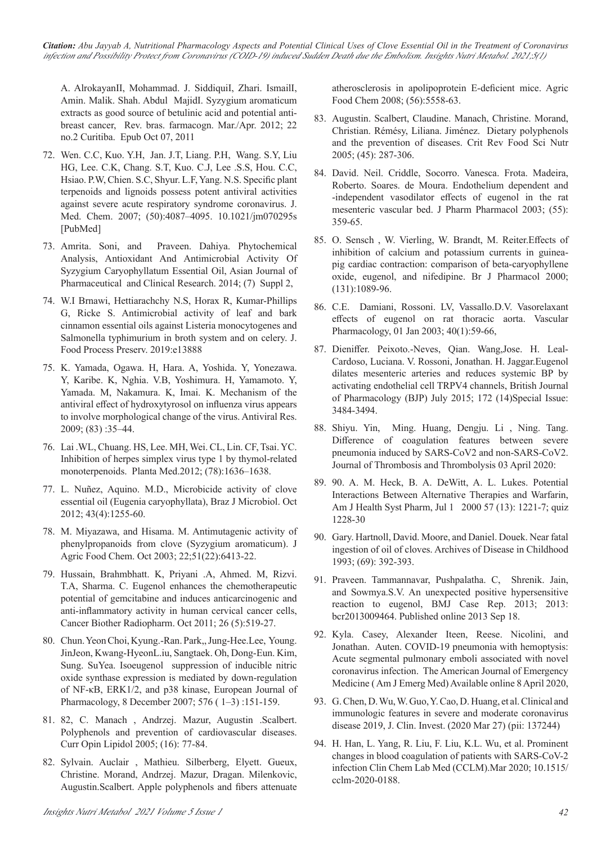*Citation: Abu Jayyab A, Nutritional Pharmacology Aspects and Potential Clinical Uses of Clove Essential Oil in the Treatment of Coronavirus infection and Possibility Protect from Coronavirus (COID-19) induced Sudden Death due the Embolism. Insights Nutri Metabol. 2021;5(1)*

A. AlrokayanII, Mohammad. J. SiddiquiI, Zhari. IsmailI, Amin. Malik. Shah. Abdul MajidI. Syzygium aromaticum extracts as good source of betulinic acid and potential antibreast cancer, Rev. bras. farmacogn. Mar./Apr. 2012; 22 no.2 Curitiba. Epub Oct 07, 2011

- 72. Wen. C.C, Kuo. Y.H, Jan. J.T, Liang. P.H, Wang. S.Y, Liu HG, Lee. C.K, Chang. S.T, Kuo. C.J, Lee .S.S, Hou. C.C, Hsiao. P.W, Chien. S.C, Shyur. L.F, Yang. N.S. Specific plant terpenoids and lignoids possess potent antiviral activities against severe acute respiratory syndrome coronavirus. J. Med. Chem. 2007; (50):4087–4095. 10.1021/jm070295s [PubMed]
- 73. Amrita. Soni, and Praveen. Dahiya. Phytochemical Analysis, Antioxidant And Antimicrobial Activity Of Syzygium Caryophyllatum Essential Oil, Asian Journal of Pharmaceutical and Clinical Research. 2014; (7) Suppl 2,
- 74. W.I Brnawi, Hettiarachchy N.S, Horax R, Kumar-Phillips G, Ricke S. Antimicrobial activity of leaf and bark cinnamon essential oils against Listeria monocytogenes and Salmonella typhimurium in broth system and on celery. J. Food Process Preserv. 2019:e13888
- 75. K. Yamada, Ogawa. H, Hara. A, Yoshida. Y, Yonezawa. Y, Karibe. K, Nghia. V.B, Yoshimura. H, Yamamoto. Y, Yamada. M, Nakamura. K, Imai. K. Mechanism of the antiviral effect of hydroxytyrosol on influenza virus appears to involve morphological change of the virus. Antiviral Res. 2009; (83) :35–44.
- 76. Lai .WL, Chuang. HS, Lee. MH, Wei. CL, Lin. CF, Tsai. YC. Inhibition of herpes simplex virus type 1 by thymol-related monoterpenoids. Planta Med.2012; (78):1636–1638.
- 77. L. Nuñez, Aquino. M.D., Microbicide activity of clove essential oil (Eugenia caryophyllata), Braz J Microbiol. Oct 2012; 43(4):1255-60.
- 78. M. Miyazawa, and Hisama. M. Antimutagenic activity of phenylpropanoids from clove (Syzygium aromaticum). J Agric Food Chem. Oct 2003; 22;51(22):6413-22.
- 79. Hussain, Brahmbhatt. K, Priyani .A, Ahmed. M, Rizvi. T.A, Sharma. C. Eugenol enhances the chemotherapeutic potential of gemcitabine and induces anticarcinogenic and anti-inflammatory activity in human cervical cancer cells, Cancer Biother Radiopharm. Oct 2011; 26 (5):519-27.
- 80. Chun. Yeon Choi, Kyung.-Ran. Park,, Jung-Hee.Lee, Young. JinJeon, Kwang-HyeonL.iu, Sangtaek. Oh, Dong-Eun. Kim, Sung. SuYea. Isoeugenol suppression of inducible nitric oxide synthase expression is mediated by down-regulation of NF-κB, ERK1/2, and p38 kinase, European Journal of Pharmacology, 8 December 2007; 576 ( 1–3) :151-159.
- 81. 82, C. Manach , Andrzej. Mazur, Augustin .Scalbert. Polyphenols and prevention of cardiovascular diseases. Curr Opin Lipidol 2005; (16): 77-84.
- 82. Sylvain. Auclair , Mathieu. Silberberg, Elyett. Gueux, Christine. Morand, Andrzej. Mazur, Dragan. Milenkovic, Augustin.Scalbert. Apple polyphenols and fibers attenuate

atherosclerosis in apolipoprotein E-deficient mice. Agric Food Chem 2008; (56):5558-63.

- 83. Augustin. Scalbert, Claudine. Manach, Christine. Morand, Christian. Rémésy, Liliana. Jiménez. Dietary polyphenols and the prevention of diseases. Crit Rev Food Sci Nutr 2005; (45): 287-306.
- 84. David. Neil. Criddle, Socorro. Vanesca. Frota. Madeira, Roberto. Soares. de Moura. Endothelium dependent and -independent vasodilator effects of eugenol in the rat mesenteric vascular bed. J Pharm Pharmacol 2003; (55): 359-65.
- 85. O. Sensch , W. Vierling, W. Brandt, M. Reiter.Effects of inhibition of calcium and potassium currents in guineapig cardiac contraction: comparison of beta-caryophyllene oxide, eugenol, and nifedipine. Br J Pharmacol 2000; (131):1089-96.
- 86. C.E. Damiani, Rossoni. LV, Vassallo.D.V. Vasorelaxant effects of eugenol on rat thoracic aorta. Vascular Pharmacology, 01 Jan 2003; 40(1):59-66,
- 87. Dieniffer. Peixoto.‐Neves, Qian. Wang,Jose. H. Leal‐ Cardoso, Luciana. V. Rossoni, Jonathan. H. Jaggar.Eugenol dilates mesenteric arteries and reduces systemic BP by activating endothelial cell TRPV4 channels, British Journal of Pharmacology (BJP) July 2015; 172 (14)Special Issue: 3484-3494.
- 88. Shiyu. Yin, Ming. Huang, Dengju. Li , Ning. Tang. Difference of coagulation features between severe pneumonia induced by SARS-CoV2 and non-SARS-CoV2. Journal of Thrombosis and Thrombolysis 03 April 2020:
- 89. 90. A. M. Heck, B. A. DeWitt, A. L. Lukes. Potential Interactions Between Alternative Therapies and Warfarin, Am J Health Syst Pharm, Jul 1 2000 57 (13): 1221-7; quiz 1228-30
- 90. Gary. Hartnoll, David. Moore, and Daniel. Douek. Near fatal ingestion of oil of cloves. Archives of Disease in Childhood 1993; (69): 392-393.
- 91. Praveen. Tammannavar, Pushpalatha. C, Shrenik. Jain, and Sowmya.S.V. An unexpected positive hypersensitive reaction to eugenol, BMJ Case Rep. 2013; 2013: bcr2013009464. Published online 2013 Sep 18.
- 92. Kyla. Casey, Alexander Iteen, Reese. Nicolini, and Jonathan. Auten. COVID-19 pneumonia with hemoptysis: Acute segmental pulmonary emboli associated with novel coronavirus infection. The American Journal of Emergency Medicine ( Am J Emerg Med) Available online 8 April 2020,
- 93. G. Chen, D. Wu, W. Guo, Y. Cao, D. Huang, et al. Clinical and immunologic features in severe and moderate coronavirus disease 2019, J. Clin. Invest. (2020 Mar 27) (pii: 137244)
- 94. H. Han, L. Yang, R. Liu, F. Liu, K.L. Wu, et al. Prominent changes in blood coagulation of patients with SARS-CoV-2 infection Clin Chem Lab Med (CCLM).Mar 2020; 10.1515/ cclm-2020-0188.